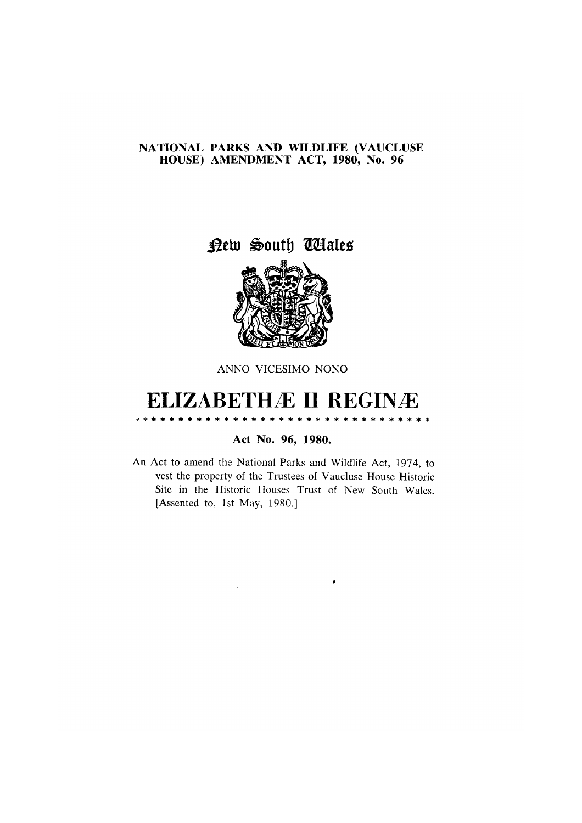## NATIONAL PARKS AND WILDLIFE (VAUCLUSE HOUSE) AMENDMENT ACT, 1980, No. 96

New South Wales



ANNO VICESIMO NONO

## **ELIZABETHÆ II REGINÆ**

\* \* \* \* \* \* \* \* \* \* \* \* \* \* \* \* \* \* \* \*

Act No. 96, 1980.

An Act to amend the National Parks and Wildlife Act, 1974, to vest the property of the Trustees of Vaucluse House Historic Site in the Historic Houses Trust of New South Wales. [Assented to, 1st May, 1980.]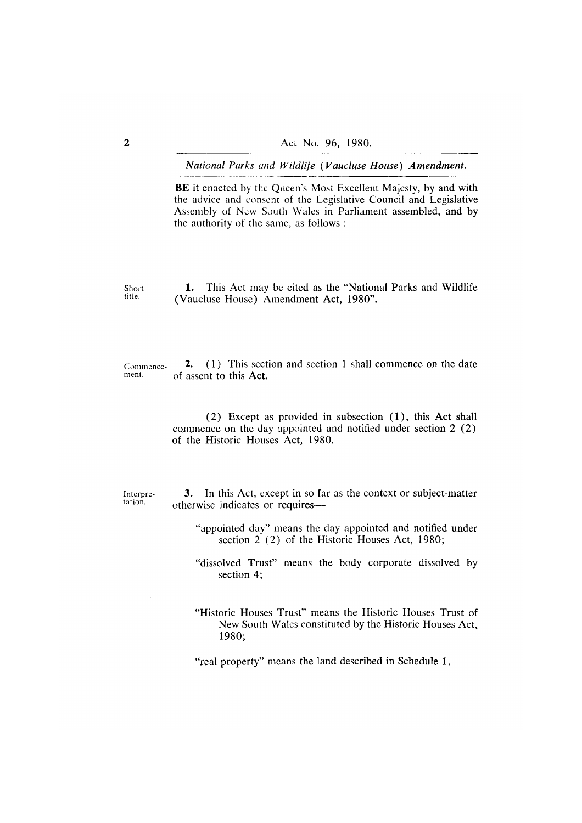BE it enacted by the Queen's Most Excellent Majesty, by and with the advice and consent of the Legislative Council and Legislative Assembly of New South Wales in Parliament assembled, and by the authority of the same, as follows :-

1. This Act may be cited as the "National Parks and Wildlife" Short title. (Vaucluse House) Amendment Act, 1980".

2. (1) This section and section 1 shall commence on the date Commenceof assent to this Act. ment.

> $(2)$  Except as provided in subsection  $(1)$ , this Act shall commence on the day appointed and notified under section 2 (2) of the Historic Houses Act, 1980.

Interpretation.

3. In this Act, except in so far as the context or subject-matter otherwise indicates or requires-

- "appointed day" means the day appointed and notified under section 2 (2) of the Historic Houses Act, 1980;
- "dissolved Trust" means the body corporate dissolved by section 4;
- "Historic Houses Trust" means the Historic Houses Trust of New South Wales constituted by the Historic Houses Act, 1980;

"real property" means the land described in Schedule 1,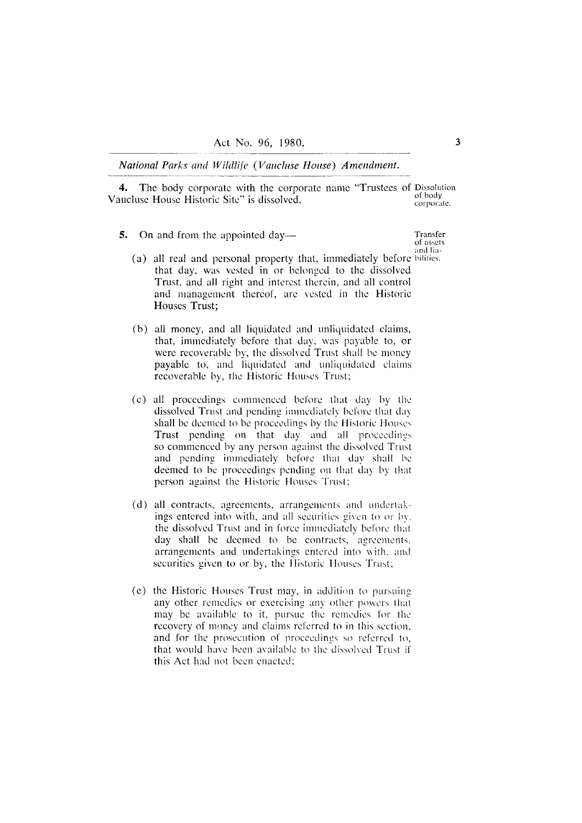4. The body corporate with the corporate name "Trustees of Dissolution of body Vaucluse House Historic Site" is dissolved. corporate.

- 5. On and from the appointed day—
	- (a) all real and personal property that, immediately before bilities. that day, was vested in or belonged to the dissolved Trust, and all right and interest therein, and all control and management thereof, are vested in the Historic Houses Trust:
	- (b) all money, and all liquidated and unliquidated claims, that, immediately before that day, was payable to, or were recoverable by, the dissolved Trust shall be money payable to, and liquidated and unliquidated claims recoverable by, the Historic Houses Trust;
	- (c) all proceedings commenced before that day by the dissolved Trust and pending immediately before that day shall be deemed to be proceedings by the Historic Houses Trust pending on that day and all proceedings so commenced by any person against the dissolved Trust and pending immediately before that day shall be deemed to be proceedings pending on that day by that person against the Historic Houses Trust;
	- (d) all contracts, agreements, arrangements and undertakings entered into with, and all securities given to or by. the dissolved Trust and in force immediately before that day shall be deemed to be contracts, agreements, arrangements and undertakings entered into with, and securities given to or by, the Historic Houses Trust;
	- (e) the Historic Houses Trust may, in addition to pursuing any other remedies or exercising any other powers that may be available to it, pursue the remedies for the recovery of money and claims referred to in this section, and for the prosecution of proceedings so referred to, that would have been available to the dissolved Trust if this Act had not been enacted:

Transfer of assets and lia-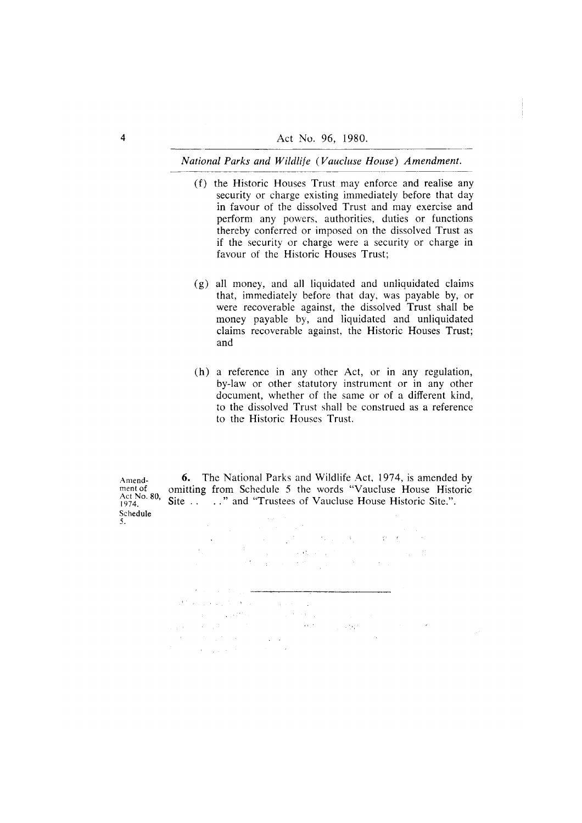- (f) the Historic Houses Trust may enforce and realise any security or charge existing immediately before that day in favour of the dissolved Trust and may exercise and perform any powers, authorities, duties or functions thereby conferred or imposed on the dissolved Trust as if the security or charge were a security or charge in favour of the Historic Houses Trust;
- (g) all money, and all liquidated and unliquidated claims that, immediately before that day, was payable by, or were recoverable against, the dissolved Trust shall be money payable by, and liquidated and unliquidated claims recoverable against, the Historic Houses Trust; and
- (h) a reference in any other Act, or in any regulation, by-law or other statutory instrument or in any other document, whether of the same or of a different kind, to the dissolved Trust shall be construed as a reference to the Historic Houses Trust.

Amendment of Act No. 80, 1974. Schedule

**6.** The National Parks and Wildlife Act, 1974, is amended by omitting from Schedule 5 the words "Vaucluse House Historic Site ... "..." and "Trustees of Vaucluse House Historic Site.".

 $\alpha$  is a set of  $\alpha$  ,  $\beta$  $\label{eq:2} \frac{1}{\sqrt{2}}\left(\frac{1}{\sqrt{2}}\right)^{2} \frac{1}{\sqrt{2}}\left(\frac{1}{\sqrt{2}}\right)^{2}$  $\sim$